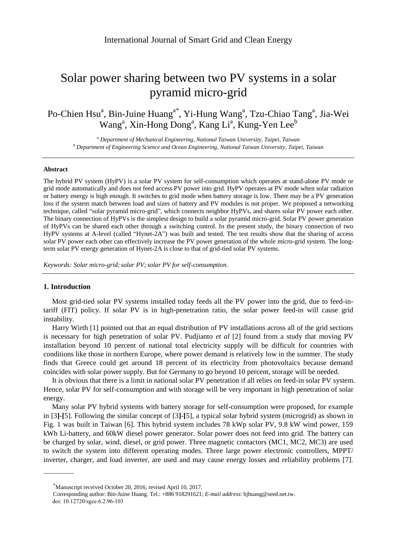# Solar power sharing between two PV systems in a solar pyramid micro-grid

Po-Chien Hsu<sup>a</sup>, Bin-Juine Huang<sup>a\*</sup>, Yi-Hung Wang<sup>a</sup>, Tzu-Chiao Tang<sup>a</sup>, Jia-Wei Wang<sup>a</sup>, Xin-Hong Dong<sup>a</sup>, Kang Li<sup>a</sup>, Kung-Yen Lee<sup>b</sup>

*<sup>a</sup> Department of Mechanical Engineering, National Taiwan University, Taipei, Taiwan <sup>b</sup> Department of Engineering Science and Ocean Engineering, National Taiwan University, Taipei, Taiwan*

#### **Abstract**

The hybrid PV system (HyPV) is a solar PV system for self-consumption which operates at stand-alone PV mode or grid mode automatically and does not feed access PV power into grid. HyPV operates at PV mode when solar radiation or battery energy is high enough. It switches to grid mode when battery storage is low. There may be a PV generation loss if the system match between load and sizes of battery and PV modules is not proper. We proposed a networking technique, called "solar pyramid micro-grid", which connects neighbor HyPVs, and shares solar PV power each other. The binary connection of HyPVs is the simplest design to build a solar pyramid micro-grid. Solar PV power generation of HyPVs can be shared each other through a switching control. In the present study, the binary connection of two HyPV systems at A-level (called "Hynet-2A") was built and tested. The test results show that the sharing of access solar PV power each other can effectively increase the PV power generation of the whole micro-grid system. The longterm solar PV energy generation of Hynet-2A is close to that of grid-tied solar PV systems.

*Keywords: Solar micro-grid; solar PV; solar PV for self-consumption.*

# **1. Introduction**

Most grid-tied solar PV systems installed today feeds all the PV power into the grid, due to feed-intariff (FIT) policy. If solar PV is in high-penetration ratio, the solar power feed-in will cause grid instability.

Harry Wirth [1] pointed out that an equal distribution of PV installations across all of the grid sections is necessary for high penetration of solar PV. Pudjianto *et al* [2] found from a study that moving PV installation beyond 10 percent of national total electricity supply will be difficult for countries with conditions like those in northern Europe, where power demand is relatively low in the summer. The study finds that Greece could get around 18 percent of its electricity from photovoltaics because demand coincides with solar power supply. But for Germany to go beyond 10 percent, storage will be needed.

It is obvious that there is a limit in national solar PV penetration if all relies on feed-in solar PV system. Hence, solar PV for self-consumption and with storage will be very important in high penetration of solar energy.

Many solar PV hybrid systems with battery storage for self-consumption were proposed, for example in [3**]**-**[**5]. Following the similar concept of [3**]**-**[**5], a typical solar hybrid system (microgrid) as shown in Fig. 1 was built in Taiwan [6]. This hybrid system includes 78 kWp solar PV, 9.8 kW wind power, 159 kWh Li-battery, and 60kW diesel power generator. Solar power does not feed into grid. The battery can be charged by solar, wind, diesel, or grid power. Three magnetic contactors (MC1, MC2, MC3) are used to switch the system into different operating modes. Three large power electronic controllers, MPPT/ inverter, charger, and load inverter, are used and may cause energy losses and reliability problems [7].

<sup>\*</sup>Manuscript received October 20, 2016; revised April 10, 2017.

Corresponding author: Bin-Juine Huang. Tel.: +886 918291621; *E-mail address*: bjhuang@seed.net.tw. doi: 10.12720/sgce.6.2.96-103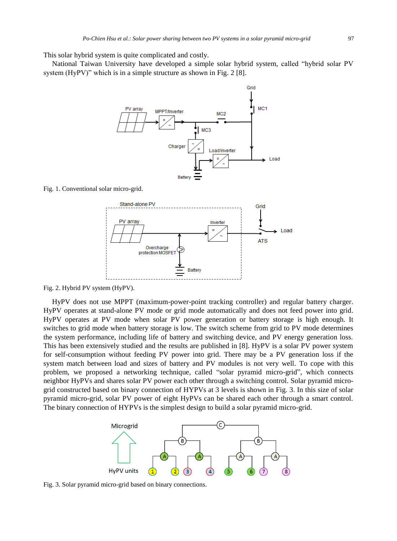This solar hybrid system is quite complicated and costly.

National Taiwan University have developed a simple solar hybrid system, called "hybrid solar PV system (HyPV)" which is in a simple structure as shown in Fig. 2 [8].



Fig. 1. Conventional solar micro-grid.



Fig. 2. Hybrid PV system (HyPV).

HyPV does not use MPPT (maximum-power-point tracking controller) and regular battery charger. HyPV operates at stand-alone PV mode or grid mode automatically and does not feed power into grid. HyPV operates at PV mode when solar PV power generation or battery storage is high enough. It switches to grid mode when battery storage is low. The switch scheme from grid to PV mode determines the system performance, including life of battery and switching device, and PV energy generation loss. This has been extensively studied and the results are published in [8]. HyPV is a solar PV power system for self-consumption without feeding PV power into grid. There may be a PV generation loss if the system match between load and sizes of battery and PV modules is not very well. To cope with this problem, we proposed a networking technique, called "solar pyramid micro-grid", which connects neighbor HyPVs and shares solar PV power each other through a switching control. Solar pyramid microgrid constructed based on binary connection of HYPVs at 3 levels is shown in Fig. 3. In this size of solar pyramid micro-grid, solar PV power of eight HyPVs can be shared each other through a smart control. The binary connection of HYPVs is the simplest design to build a solar pyramid micro-grid.



Fig. 3. Solar pyramid micro-grid based on binary connections.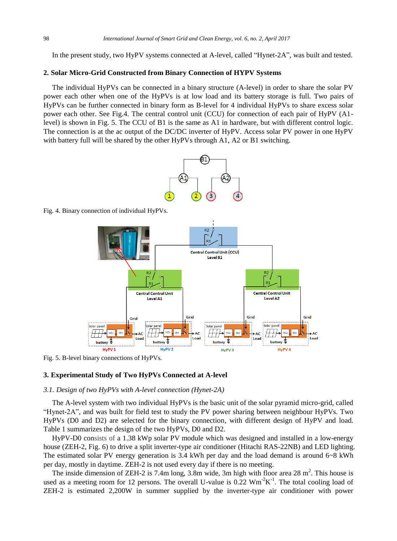In the present study, two HyPV systems connected at A-level, called "Hynet-2A", was built and tested.

## **2. Solar Micro-Grid Constructed from Binary Connection of HYPV Systems**

The individual HyPVs can be connected in a binary structure (A-level) in order to share the solar PV power each other when one of the HyPVs is at low load and its battery storage is full. Two pairs of HyPVs can be further connected in binary form as B-level for 4 individual HyPVs to share excess solar power each other. See Fig.4. The central control unit (CCU) for connection of each pair of HyPV (A1 level) is shown in Fig. 5. The CCU of B1 is the same as A1 in hardware, but with different control logic. The connection is at the ac output of the DC/DC inverter of HyPV. Access solar PV power in one HyPV with battery full will be shared by the other HyPVs through A1, A2 or B1 switching.



Fig. 4. Binary connection of individual HyPVs.



Fig. 5. B-level binary connections of HyPVs.

## **3. Experimental Study of Two HyPVs Connected at A-level**

## *3.1. Design of two HyPVs with A-level connection (Hynet-2A)*

The A-level system with two individual HyPVs is the basic unit of the solar pyramid micro-grid, called "Hynet-2A", and was built for field test to study the PV power sharing between neighbour HyPVs. Two HyPVs (D0 and D2) are selected for the binary connection, with different design of HyPV and load*.* Table 1 summarizes the design of the two HyPVs, D0 and D2.

HyPV-D0 consists of a 1.38 kWp solar PV module which was designed and installed in a low-energy house (ZEH-2, Fig. 6) to drive a split inverter-type air conditioner (Hitachi RAS-22NB) and LED lighting. The estimated solar PV energy generation is 3.4 kWh per day and the load demand is around 6~8 kWh per day, mostly in daytime. ZEH-2 is not used every day if there is no meeting.

The inside dimension of ZEH-2 is 7.4m long, 3.8m wide, 3m high with floor area 28  $m<sup>2</sup>$ . This house is used as a meeting room for 12 persons. The overall U-value is  $0.22 \text{ Wm}^2\text{K}^1$ . The total cooling load of ZEH-2 is estimated 2,200W in summer supplied by the inverter-type air conditioner with power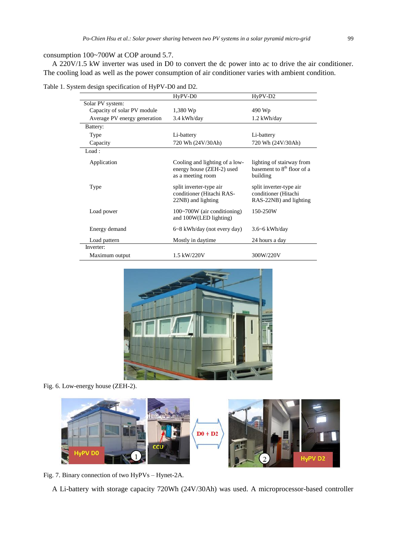# consumption 100~700W at COP around 5.7.

A 220V/1.5 kW inverter was used in D0 to convert the dc power into ac to drive the air conditioner. The cooling load as well as the power consumption of air conditioner varies with ambient condition.

| Table 1. System design specification of HyPV-D0 and D2. |  |  |
|---------------------------------------------------------|--|--|
|                                                         |  |  |

|                              | HyPV-D0                                                                          | HyPV-D2                                                                         |
|------------------------------|----------------------------------------------------------------------------------|---------------------------------------------------------------------------------|
| Solar PV system:             |                                                                                  |                                                                                 |
| Capacity of solar PV module  | 1,380 Wp                                                                         | 490 Wp                                                                          |
| Average PV energy generation | 3.4 kWh/day                                                                      | 1.2 kWh/day                                                                     |
| Battery:                     |                                                                                  |                                                                                 |
| Type                         | Li-battery                                                                       | Li-battery                                                                      |
| Capacity                     | 720 Wh (24V/30Ah)                                                                | 720 Wh (24V/30Ah)                                                               |
| Load:                        |                                                                                  |                                                                                 |
| Application                  | Cooling and lighting of a low-<br>energy house (ZEH-2) used<br>as a meeting room | lighting of stairway from<br>basement to 8 <sup>th</sup> floor of a<br>building |
| Type                         | split inverter-type air<br>conditioner (Hitachi RAS-<br>22NB) and lighting       | split inverter-type air<br>conditioner (Hitachi<br>RAS-22NB) and lighting       |
| Load power                   | $100~700W$ (air conditioning)<br>and 100W(LED lighting)                          | 150-250W                                                                        |
| Energy demand                | 6~8 kWh/day (not every day)                                                      | $3.6 - 6$ kWh/day                                                               |
| Load pattern                 | Mostly in daytime                                                                | 24 hours a day                                                                  |
| Inverter:                    |                                                                                  |                                                                                 |
| Maximum output               | 1.5 kW/220V                                                                      | 300W/220V                                                                       |



Fig. 6. Low-energy house (ZEH-2).



Fig. 7. Binary connection of two HyPVs – Hynet-2A.

A Li-battery with storage capacity 720Wh (24V/30Ah) was used. A microprocessor-based controller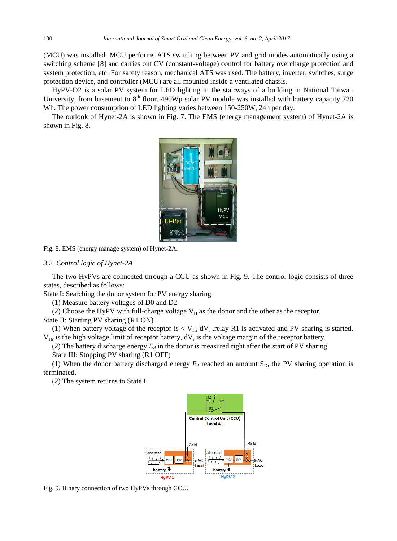(MCU) was installed. MCU performs ATS switching between PV and grid modes automatically using a switching scheme [8] and carries out CV (constant-voltage) control for battery overcharge protection and system protection, etc. For safety reason, mechanical ATS was used. The battery, inverter, switches, surge protection device, and controller (MCU) are all mounted inside a ventilated chassis.

HyPV-D2 is a solar PV system for LED lighting in the stairways of a building in National Taiwan University, from basement to  $8<sup>th</sup>$  floor. 490Wp solar PV module was installed with battery capacity 720 Wh. The power consumption of LED lighting varies between 150-250W, 24h per day.

The outlook of Hynet-2A is shown in Fig. 7. The EMS (energy management system) of Hynet-2A is shown in Fig. 8.



Fig. 8. EMS (energy manage system) of Hynet-2A.

## *3.2. Control logic of Hynet-2A*

The two HyPVs are connected through a CCU as shown in Fig. 9. The control logic consists of three states, described as follows:

State I: Searching the donor system for PV energy sharing

(1) Measure battery voltages of D0 and D2

(2) Choose the HyPV with full-charge voltage  $V_H$  as the donor and the other as the receptor.

State II: Starting PV sharing (R1 ON)

(1) When battery voltage of the receptor is  $< V_{Hr}$ -dV<sub>r</sub>, relay R1 is activated and PV sharing is started.  $V_{\text{Hr}}$  is the high voltage limit of receptor battery,  $dV_r$  is the voltage margin of the receptor battery.

(2) The battery discharge energy  $E_d$  in the donor is measured right after the start of PV sharing.

State III: Stopping PV sharing (R1 OFF)

(1) When the donor battery discharged energy  $E_d$  reached an amount  $S_D$ , the PV sharing operation is terminated.

(2) The system returns to State I.



Fig. 9. Binary connection of two HyPVs through CCU.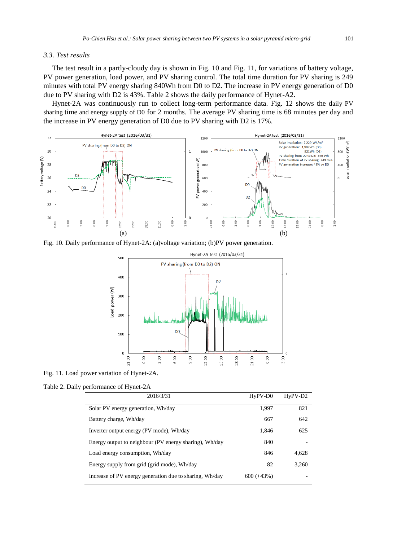# *3.3. Test results*

The test result in a partly-cloudy day is shown in Fig. 10 and Fig. 11, for variations of battery voltage, PV power generation, load power, and PV sharing control. The total time duration for PV sharing is 249 minutes with total PV energy sharing 840Wh from D0 to D2. The increase in PV energy generation of D0 due to PV sharing with D2 is 43%. Table 2 shows the daily performance of Hynet-A2.

Hynet-2A was continuously run to collect long-term performance data. Fig. 12 shows the daily PV sharing time and energy supply of D0 for 2 months. The average PV sharing time is 68 minutes per day and the increase in PV energy generation of D0 due to PV sharing with D2 is 17%.



Fig. 10. Daily performance of Hynet-2A: (a)voltage variation; (b)PV power generation.



Fig. 11. Load power variation of Hynet-2A.

Table 2. Daily performance of Hynet-2A

| 2016/3/31                                               | HyPV-D0      | $HyPV-D2$ |
|---------------------------------------------------------|--------------|-----------|
| Solar PV energy generation, Wh/day                      | 1,997        | 821       |
| Battery charge, Wh/day                                  | 667          | 642       |
| Inverter output energy (PV mode), Wh/day                | 1,846        | 625       |
| Energy output to neighbour (PV energy sharing), Wh/day  | 840          |           |
| Load energy consumption, Wh/day                         | 846          | 4,628     |
| Energy supply from grid (grid mode), Wh/day             | 82           | 3,260     |
| Increase of PV energy generation due to sharing, Wh/day | $600 (+43%)$ |           |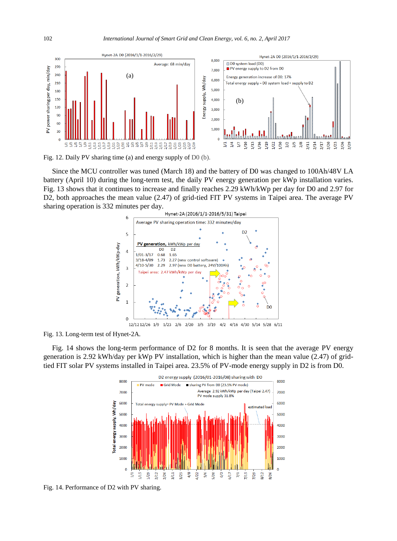

Fig. 12. Daily PV sharing time (a) and energy supply of D0 (b).

Since the MCU controller was tuned (March 18) and the battery of D0 was changed to 100Ah/48V LA battery (April 10) during the long-term test, the daily PV energy generation per kWp installation varies. Fig. 13 shows that it continues to increase and finally reaches 2.29 kWh/kWp per day for D0 and 2.97 for D2, both approaches the mean value (2.47) of grid-tied FIT PV systems in Taipei area. The average PV sharing operation is 332 minutes per day.



Fig. 13. Long-term test of Hynet-2A.

Fig. 14 shows the long-term performance of D2 for 8 months. It is seen that the average PV energy generation is 2.92 kWh/day per kWp PV installation, which is higher than the mean value (2.47) of gridtied FIT solar PV systems installed in Taipei area. 23.5% of PV-mode energy supply in D2 is from D0.



Fig. 14. Performance of D2 with PV sharing.